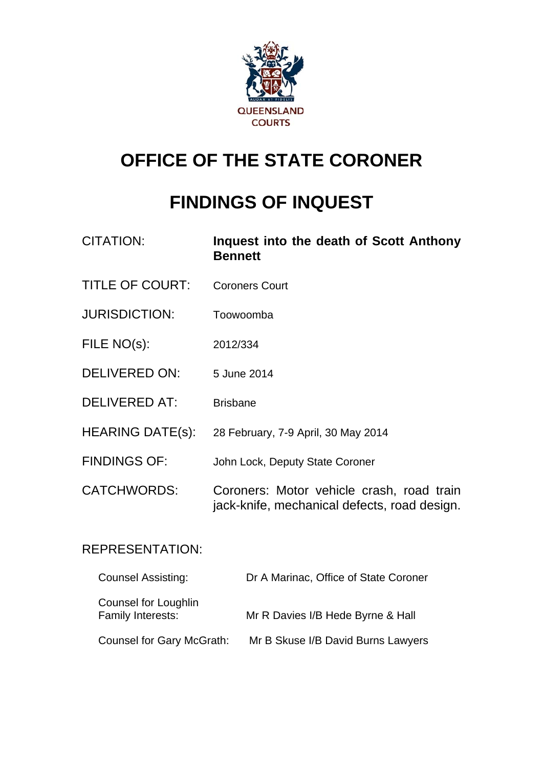

# **OFFICE OF THE STATE CORONER**

# **FINDINGS OF INQUEST**

| <b>CITATION:</b>        | Inquest into the death of Scott Anthony<br><b>Bennett</b>                                 |
|-------------------------|-------------------------------------------------------------------------------------------|
| <b>TITLE OF COURT:</b>  | <b>Coroners Court</b>                                                                     |
| <b>JURISDICTION:</b>    | Toowoomba                                                                                 |
| FILE NO(s):             | 2012/334                                                                                  |
| <b>DELIVERED ON:</b>    | 5 June 2014                                                                               |
| <b>DELIVERED AT:</b>    | <b>Brisbane</b>                                                                           |
| <b>HEARING DATE(s):</b> | 28 February, 7-9 April, 30 May 2014                                                       |
| <b>FINDINGS OF:</b>     | John Lock, Deputy State Coroner                                                           |
| <b>CATCHWORDS:</b>      | Coroners: Motor vehicle crash, road train<br>jack-knife, mechanical defects, road design. |

# REPRESENTATION:

| <b>Counsel Assisting:</b>                 | Dr A Marinac, Office of State Coroner |
|-------------------------------------------|---------------------------------------|
| Counsel for Loughlin<br>Family Interests: | Mr R Davies I/B Hede Byrne & Hall     |
| Counsel for Gary McGrath:                 | Mr B Skuse I/B David Burns Lawyers    |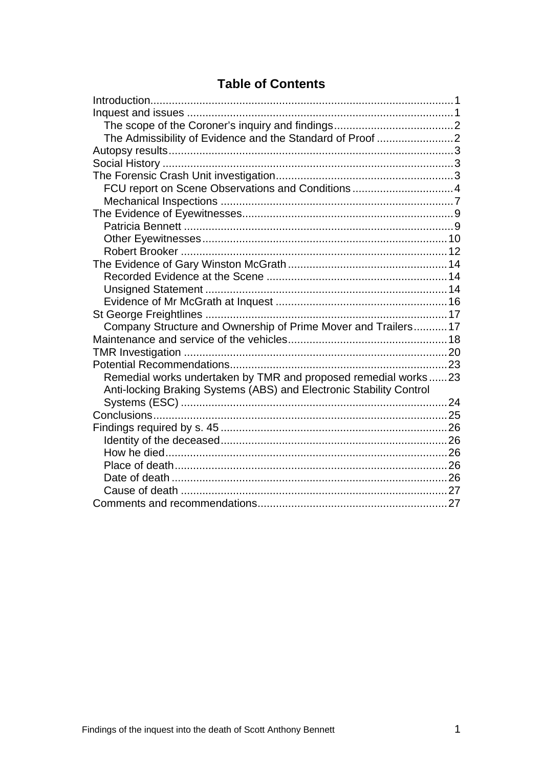# **Table of Contents**

| The Admissibility of Evidence and the Standard of Proof 2           |  |
|---------------------------------------------------------------------|--|
|                                                                     |  |
|                                                                     |  |
|                                                                     |  |
| FCU report on Scene Observations and Conditions4                    |  |
|                                                                     |  |
|                                                                     |  |
|                                                                     |  |
|                                                                     |  |
|                                                                     |  |
|                                                                     |  |
|                                                                     |  |
|                                                                     |  |
|                                                                     |  |
|                                                                     |  |
| Company Structure and Ownership of Prime Mover and Trailers 17      |  |
|                                                                     |  |
|                                                                     |  |
|                                                                     |  |
| Remedial works undertaken by TMR and proposed remedial works23      |  |
| Anti-locking Braking Systems (ABS) and Electronic Stability Control |  |
|                                                                     |  |
|                                                                     |  |
|                                                                     |  |
|                                                                     |  |
|                                                                     |  |
|                                                                     |  |
|                                                                     |  |
|                                                                     |  |
|                                                                     |  |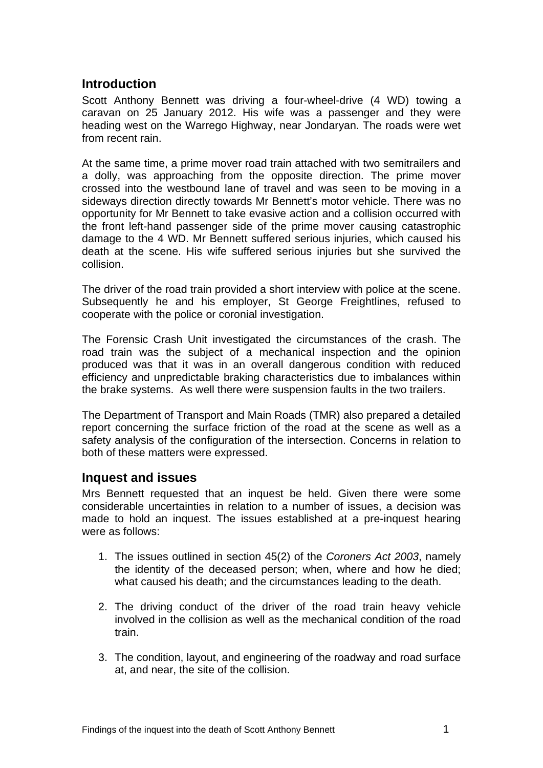# <span id="page-2-0"></span>**Introduction**

Scott Anthony Bennett was driving a four-wheel-drive (4 WD) towing a caravan on 25 January 2012. His wife was a passenger and they were heading west on the Warrego Highway, near Jondaryan. The roads were wet from recent rain.

At the same time, a prime mover road train attached with two semitrailers and a dolly, was approaching from the opposite direction. The prime mover crossed into the westbound lane of travel and was seen to be moving in a sideways direction directly towards Mr Bennett's motor vehicle. There was no opportunity for Mr Bennett to take evasive action and a collision occurred with the front left-hand passenger side of the prime mover causing catastrophic damage to the 4 WD. Mr Bennett suffered serious injuries, which caused his death at the scene. His wife suffered serious injuries but she survived the collision.

The driver of the road train provided a short interview with police at the scene. Subsequently he and his employer, St George Freightlines, refused to cooperate with the police or coronial investigation.

The Forensic Crash Unit investigated the circumstances of the crash. The road train was the subject of a mechanical inspection and the opinion produced was that it was in an overall dangerous condition with reduced efficiency and unpredictable braking characteristics due to imbalances within the brake systems. As well there were suspension faults in the two trailers.

The Department of Transport and Main Roads (TMR) also prepared a detailed report concerning the surface friction of the road at the scene as well as a safety analysis of the configuration of the intersection. Concerns in relation to both of these matters were expressed.

## <span id="page-2-1"></span>**Inquest and issues**

Mrs Bennett requested that an inquest be held. Given there were some considerable uncertainties in relation to a number of issues, a decision was made to hold an inquest. The issues established at a pre-inquest hearing were as follows:

- 1. The issues outlined in section 45(2) of the *Coroners Act 2003*, namely the identity of the deceased person; when, where and how he died; what caused his death; and the circumstances leading to the death.
- 2. The driving conduct of the driver of the road train heavy vehicle involved in the collision as well as the mechanical condition of the road train.
- <span id="page-2-2"></span>3. The condition, layout, and engineering of the roadway and road surface at, and near, the site of the collision.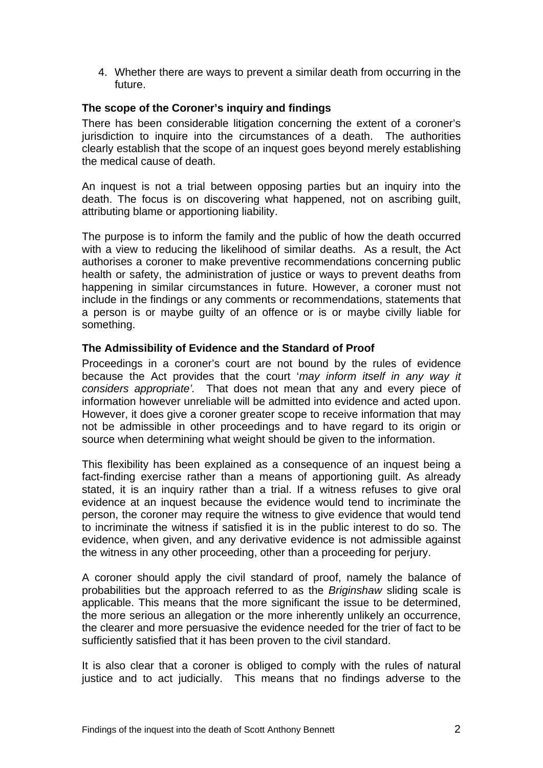4. Whether there are ways to prevent a similar death from occurring in the future.

#### <span id="page-3-0"></span>**The scope of the Coroner's inquiry and findings**

There has been considerable litigation concerning the extent of a coroner's jurisdiction to inquire into the circumstances of a death. The authorities clearly establish that the scope of an inquest goes beyond merely establishing the medical cause of death.

An inquest is not a trial between opposing parties but an inquiry into the death. The focus is on discovering what happened, not on ascribing guilt, attributing blame or apportioning liability.

The purpose is to inform the family and the public of how the death occurred with a view to reducing the likelihood of similar deaths. As a result, the Act authorises a coroner to make preventive recommendations concerning public health or safety, the administration of justice or ways to prevent deaths from happening in similar circumstances in future. However, a coroner must not include in the findings or any comments or recommendations, statements that a person is or maybe guilty of an offence or is or maybe civilly liable for something.

#### <span id="page-3-1"></span>**The Admissibility of Evidence and the Standard of Proof**

Proceedings in a coroner's court are not bound by the rules of evidence because the Act provides that the court '*may inform itself in any way it considers appropriate'.* That does not mean that any and every piece of information however unreliable will be admitted into evidence and acted upon. However, it does give a coroner greater scope to receive information that may not be admissible in other proceedings and to have regard to its origin or source when determining what weight should be given to the information.

This flexibility has been explained as a consequence of an inquest being a fact-finding exercise rather than a means of apportioning guilt. As already stated, it is an inquiry rather than a trial. If a witness refuses to give oral evidence at an inquest because the evidence would tend to incriminate the person, the coroner may require the witness to give evidence that would tend to incriminate the witness if satisfied it is in the public interest to do so. The evidence, when given, and any derivative evidence is not admissible against the witness in any other proceeding, other than a proceeding for perjury.

A coroner should apply the civil standard of proof, namely the balance of probabilities but the approach referred to as the *Briginshaw* sliding scale is applicable. This means that the more significant the issue to be determined, the more serious an allegation or the more inherently unlikely an occurrence, the clearer and more persuasive the evidence needed for the trier of fact to be sufficiently satisfied that it has been proven to the civil standard.

It is also clear that a coroner is obliged to comply with the rules of natural justice and to act judicially. This means that no findings adverse to the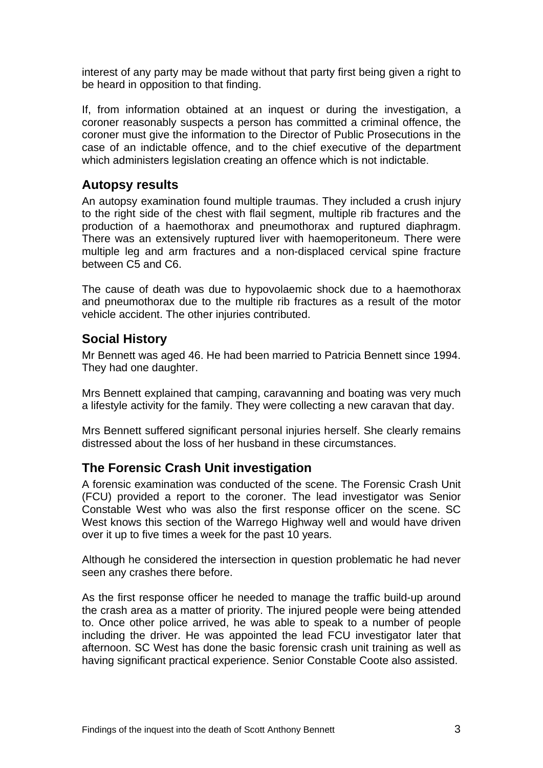interest of any party may be made without that party first being given a right to be heard in opposition to that finding.

If, from information obtained at an inquest or during the investigation, a coroner reasonably suspects a person has committed a criminal offence, the coroner must give the information to the Director of Public Prosecutions in the case of an indictable offence, and to the chief executive of the department which administers legislation creating an offence which is not indictable.

# <span id="page-4-0"></span>**Autopsy results**

An autopsy examination found multiple traumas. They included a crush injury to the right side of the chest with flail segment, multiple rib fractures and the production of a haemothorax and pneumothorax and ruptured diaphragm. There was an extensively ruptured liver with haemoperitoneum. There were multiple leg and arm fractures and a non-displaced cervical spine fracture between C5 and C6.

The cause of death was due to hypovolaemic shock due to a haemothorax and pneumothorax due to the multiple rib fractures as a result of the motor vehicle accident. The other injuries contributed.

## <span id="page-4-1"></span>**Social History**

Mr Bennett was aged 46. He had been married to Patricia Bennett since 1994. They had one daughter.

Mrs Bennett explained that camping, caravanning and boating was very much a lifestyle activity for the family. They were collecting a new caravan that day.

Mrs Bennett suffered significant personal injuries herself. She clearly remains distressed about the loss of her husband in these circumstances.

# <span id="page-4-2"></span>**The Forensic Crash Unit investigation**

A forensic examination was conducted of the scene. The Forensic Crash Unit (FCU) provided a report to the coroner. The lead investigator was Senior Constable West who was also the first response officer on the scene. SC West knows this section of the Warrego Highway well and would have driven over it up to five times a week for the past 10 years.

Although he considered the intersection in question problematic he had never seen any crashes there before.

As the first response officer he needed to manage the traffic build-up around the crash area as a matter of priority. The injured people were being attended to. Once other police arrived, he was able to speak to a number of people including the driver. He was appointed the lead FCU investigator later that afternoon. SC West has done the basic forensic crash unit training as well as having significant practical experience. Senior Constable Coote also assisted.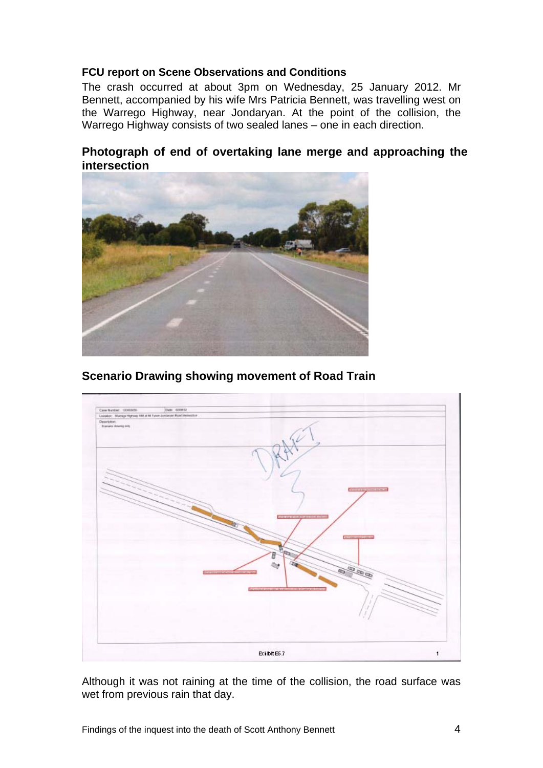#### <span id="page-5-0"></span>**FCU report on Scene Observations and Conditions**

The crash occurred at about 3pm on Wednesday, 25 January 2012. Mr Bennett, accompanied by his wife Mrs Patricia Bennett, was travelling west on the Warrego Highway, near Jondaryan. At the point of the collision, the Warrego Highway consists of two sealed lanes – one in each direction.

## **Photograph of end of overtaking lane merge and approaching the intersection**



# **Scenario Drawing showing movement of Road Train**



Although it was not raining at the time of the collision, the road surface was wet from previous rain that day.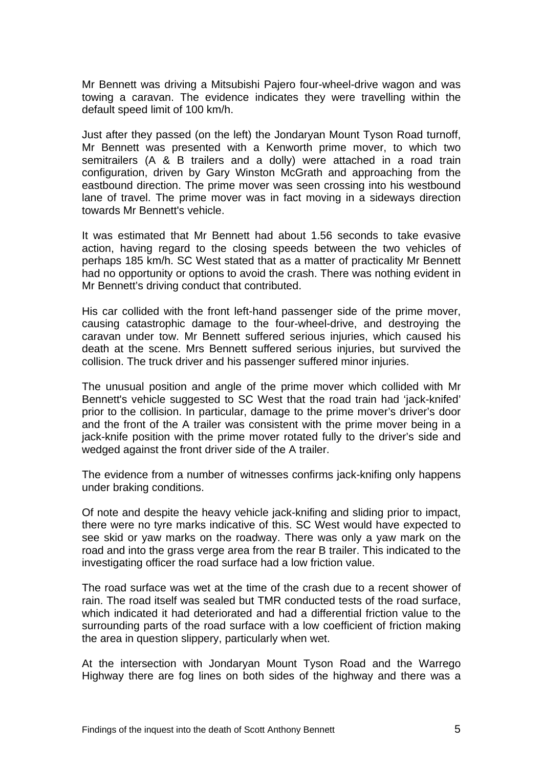Mr Bennett was driving a Mitsubishi Pajero four-wheel-drive wagon and was towing a caravan. The evidence indicates they were travelling within the default speed limit of 100 km/h.

Just after they passed (on the left) the Jondaryan Mount Tyson Road turnoff, Mr Bennett was presented with a Kenworth prime mover, to which two semitrailers (A & B trailers and a dolly) were attached in a road train configuration, driven by Gary Winston McGrath and approaching from the eastbound direction. The prime mover was seen crossing into his westbound lane of travel. The prime mover was in fact moving in a sideways direction towards Mr Bennett's vehicle.

It was estimated that Mr Bennett had about 1.56 seconds to take evasive action, having regard to the closing speeds between the two vehicles of perhaps 185 km/h. SC West stated that as a matter of practicality Mr Bennett had no opportunity or options to avoid the crash. There was nothing evident in Mr Bennett's driving conduct that contributed.

His car collided with the front left-hand passenger side of the prime mover, causing catastrophic damage to the four-wheel-drive, and destroying the caravan under tow. Mr Bennett suffered serious injuries, which caused his death at the scene. Mrs Bennett suffered serious injuries, but survived the collision. The truck driver and his passenger suffered minor injuries.

The unusual position and angle of the prime mover which collided with Mr Bennett's vehicle suggested to SC West that the road train had 'jack-knifed' prior to the collision. In particular, damage to the prime mover's driver's door and the front of the A trailer was consistent with the prime mover being in a jack-knife position with the prime mover rotated fully to the driver's side and wedged against the front driver side of the A trailer.

The evidence from a number of witnesses confirms jack-knifing only happens under braking conditions.

Of note and despite the heavy vehicle jack-knifing and sliding prior to impact, there were no tyre marks indicative of this. SC West would have expected to see skid or yaw marks on the roadway. There was only a yaw mark on the road and into the grass verge area from the rear B trailer. This indicated to the investigating officer the road surface had a low friction value.

The road surface was wet at the time of the crash due to a recent shower of rain. The road itself was sealed but TMR conducted tests of the road surface, which indicated it had deteriorated and had a differential friction value to the surrounding parts of the road surface with a low coefficient of friction making the area in question slippery, particularly when wet.

At the intersection with Jondaryan Mount Tyson Road and the Warrego Highway there are fog lines on both sides of the highway and there was a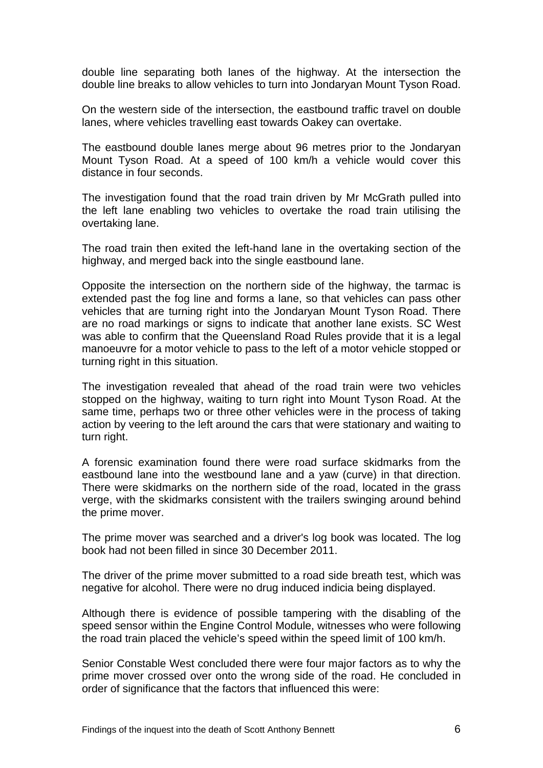double line separating both lanes of the highway. At the intersection the double line breaks to allow vehicles to turn into Jondaryan Mount Tyson Road.

On the western side of the intersection, the eastbound traffic travel on double lanes, where vehicles travelling east towards Oakey can overtake.

The eastbound double lanes merge about 96 metres prior to the Jondaryan Mount Tyson Road. At a speed of 100 km/h a vehicle would cover this distance in four seconds.

The investigation found that the road train driven by Mr McGrath pulled into the left lane enabling two vehicles to overtake the road train utilising the overtaking lane.

The road train then exited the left-hand lane in the overtaking section of the highway, and merged back into the single eastbound lane.

Opposite the intersection on the northern side of the highway, the tarmac is extended past the fog line and forms a lane, so that vehicles can pass other vehicles that are turning right into the Jondaryan Mount Tyson Road. There are no road markings or signs to indicate that another lane exists. SC West was able to confirm that the Queensland Road Rules provide that it is a legal manoeuvre for a motor vehicle to pass to the left of a motor vehicle stopped or turning right in this situation.

The investigation revealed that ahead of the road train were two vehicles stopped on the highway, waiting to turn right into Mount Tyson Road. At the same time, perhaps two or three other vehicles were in the process of taking action by veering to the left around the cars that were stationary and waiting to turn right.

A forensic examination found there were road surface skidmarks from the eastbound lane into the westbound lane and a yaw (curve) in that direction. There were skidmarks on the northern side of the road, located in the grass verge, with the skidmarks consistent with the trailers swinging around behind the prime mover.

The prime mover was searched and a driver's log book was located. The log book had not been filled in since 30 December 2011.

The driver of the prime mover submitted to a road side breath test, which was negative for alcohol. There were no drug induced indicia being displayed.

Although there is evidence of possible tampering with the disabling of the speed sensor within the Engine Control Module, witnesses who were following the road train placed the vehicle's speed within the speed limit of 100 km/h.

Senior Constable West concluded there were four major factors as to why the prime mover crossed over onto the wrong side of the road. He concluded in order of significance that the factors that influenced this were: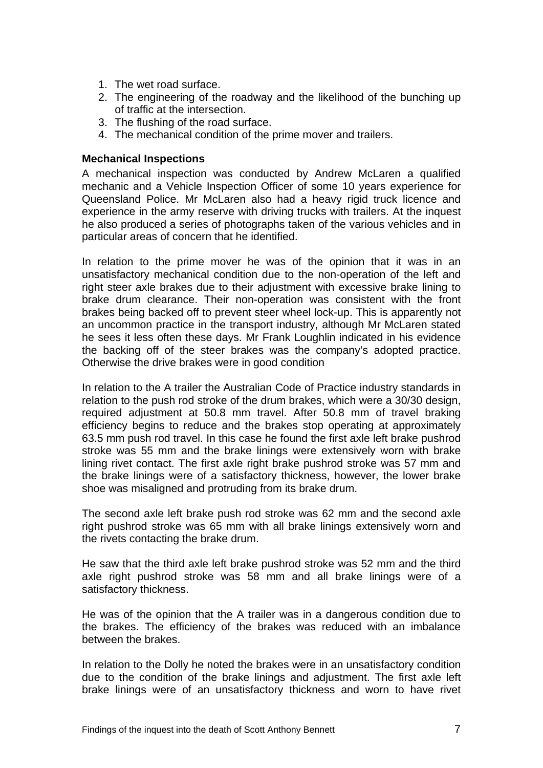- 1. The wet road surface.
- 2. The engineering of the roadway and the likelihood of the bunching up of traffic at the intersection.
- 3. The flushing of the road surface.
- 4. The mechanical condition of the prime mover and trailers.

#### <span id="page-8-0"></span>**Mechanical Inspections**

A mechanical inspection was conducted by Andrew McLaren a qualified mechanic and a Vehicle Inspection Officer of some 10 years experience for Queensland Police. Mr McLaren also had a heavy rigid truck licence and experience in the army reserve with driving trucks with trailers. At the inquest he also produced a series of photographs taken of the various vehicles and in particular areas of concern that he identified.

In relation to the prime mover he was of the opinion that it was in an unsatisfactory mechanical condition due to the non-operation of the left and right steer axle brakes due to their adjustment with excessive brake lining to brake drum clearance. Their non-operation was consistent with the front brakes being backed off to prevent steer wheel lock-up. This is apparently not an uncommon practice in the transport industry, although Mr McLaren stated he sees it less often these days. Mr Frank Loughlin indicated in his evidence the backing off of the steer brakes was the company's adopted practice. Otherwise the drive brakes were in good condition

In relation to the A trailer the Australian Code of Practice industry standards in relation to the push rod stroke of the drum brakes, which were a 30/30 design, required adjustment at 50.8 mm travel. After 50.8 mm of travel braking efficiency begins to reduce and the brakes stop operating at approximately 63.5 mm push rod travel. In this case he found the first axle left brake pushrod stroke was 55 mm and the brake linings were extensively worn with brake lining rivet contact. The first axle right brake pushrod stroke was 57 mm and the brake linings were of a satisfactory thickness, however, the lower brake shoe was misaligned and protruding from its brake drum.

The second axle left brake push rod stroke was 62 mm and the second axle right pushrod stroke was 65 mm with all brake linings extensively worn and the rivets contacting the brake drum.

He saw that the third axle left brake pushrod stroke was 52 mm and the third axle right pushrod stroke was 58 mm and all brake linings were of a satisfactory thickness.

He was of the opinion that the A trailer was in a dangerous condition due to the brakes. The efficiency of the brakes was reduced with an imbalance between the brakes.

In relation to the Dolly he noted the brakes were in an unsatisfactory condition due to the condition of the brake linings and adjustment. The first axle left brake linings were of an unsatisfactory thickness and worn to have rivet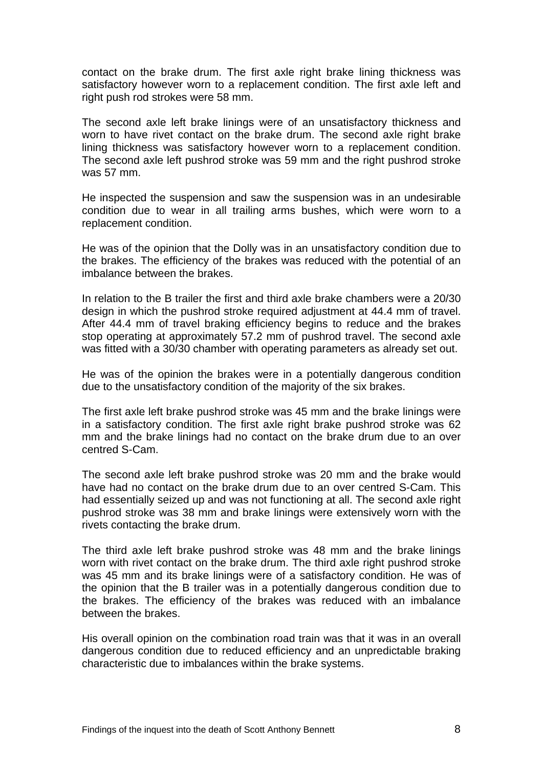contact on the brake drum. The first axle right brake lining thickness was satisfactory however worn to a replacement condition. The first axle left and right push rod strokes were 58 mm.

The second axle left brake linings were of an unsatisfactory thickness and worn to have rivet contact on the brake drum. The second axle right brake lining thickness was satisfactory however worn to a replacement condition. The second axle left pushrod stroke was 59 mm and the right pushrod stroke was 57 mm.

He inspected the suspension and saw the suspension was in an undesirable condition due to wear in all trailing arms bushes, which were worn to a replacement condition.

He was of the opinion that the Dolly was in an unsatisfactory condition due to the brakes. The efficiency of the brakes was reduced with the potential of an imbalance between the brakes.

In relation to the B trailer the first and third axle brake chambers were a 20/30 design in which the pushrod stroke required adjustment at 44.4 mm of travel. After 44.4 mm of travel braking efficiency begins to reduce and the brakes stop operating at approximately 57.2 mm of pushrod travel. The second axle was fitted with a 30/30 chamber with operating parameters as already set out.

He was of the opinion the brakes were in a potentially dangerous condition due to the unsatisfactory condition of the majority of the six brakes.

The first axle left brake pushrod stroke was 45 mm and the brake linings were in a satisfactory condition. The first axle right brake pushrod stroke was 62 mm and the brake linings had no contact on the brake drum due to an over centred S-Cam.

The second axle left brake pushrod stroke was 20 mm and the brake would have had no contact on the brake drum due to an over centred S-Cam. This had essentially seized up and was not functioning at all. The second axle right pushrod stroke was 38 mm and brake linings were extensively worn with the rivets contacting the brake drum.

The third axle left brake pushrod stroke was 48 mm and the brake linings worn with rivet contact on the brake drum. The third axle right pushrod stroke was 45 mm and its brake linings were of a satisfactory condition. He was of the opinion that the B trailer was in a potentially dangerous condition due to the brakes. The efficiency of the brakes was reduced with an imbalance between the brakes.

His overall opinion on the combination road train was that it was in an overall dangerous condition due to reduced efficiency and an unpredictable braking characteristic due to imbalances within the brake systems.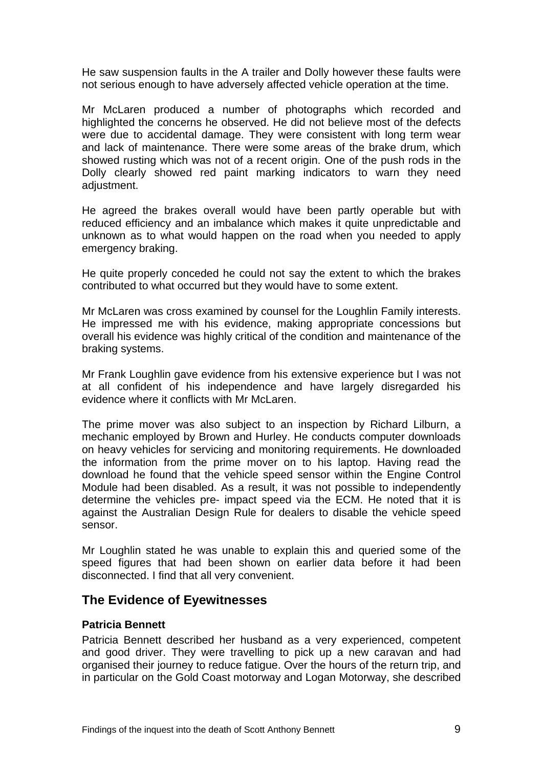He saw suspension faults in the A trailer and Dolly however these faults were not serious enough to have adversely affected vehicle operation at the time.

Mr McLaren produced a number of photographs which recorded and highlighted the concerns he observed. He did not believe most of the defects were due to accidental damage. They were consistent with long term wear and lack of maintenance. There were some areas of the brake drum, which showed rusting which was not of a recent origin. One of the push rods in the Dolly clearly showed red paint marking indicators to warn they need adiustment.

He agreed the brakes overall would have been partly operable but with reduced efficiency and an imbalance which makes it quite unpredictable and unknown as to what would happen on the road when you needed to apply emergency braking.

He quite properly conceded he could not say the extent to which the brakes contributed to what occurred but they would have to some extent.

Mr McLaren was cross examined by counsel for the Loughlin Family interests. He impressed me with his evidence, making appropriate concessions but overall his evidence was highly critical of the condition and maintenance of the braking systems.

Mr Frank Loughlin gave evidence from his extensive experience but I was not at all confident of his independence and have largely disregarded his evidence where it conflicts with Mr McLaren.

The prime mover was also subject to an inspection by Richard Lilburn, a mechanic employed by Brown and Hurley. He conducts computer downloads on heavy vehicles for servicing and monitoring requirements. He downloaded the information from the prime mover on to his laptop. Having read the download he found that the vehicle speed sensor within the Engine Control Module had been disabled. As a result, it was not possible to independently determine the vehicles pre- impact speed via the ECM. He noted that it is against the Australian Design Rule for dealers to disable the vehicle speed sensor.

Mr Loughlin stated he was unable to explain this and queried some of the speed figures that had been shown on earlier data before it had been disconnected. I find that all very convenient.

## <span id="page-10-0"></span>**The Evidence of Eyewitnesses**

#### <span id="page-10-1"></span>**Patricia Bennett**

Patricia Bennett described her husband as a very experienced, competent and good driver. They were travelling to pick up a new caravan and had organised their journey to reduce fatigue. Over the hours of the return trip, and in particular on the Gold Coast motorway and Logan Motorway, she described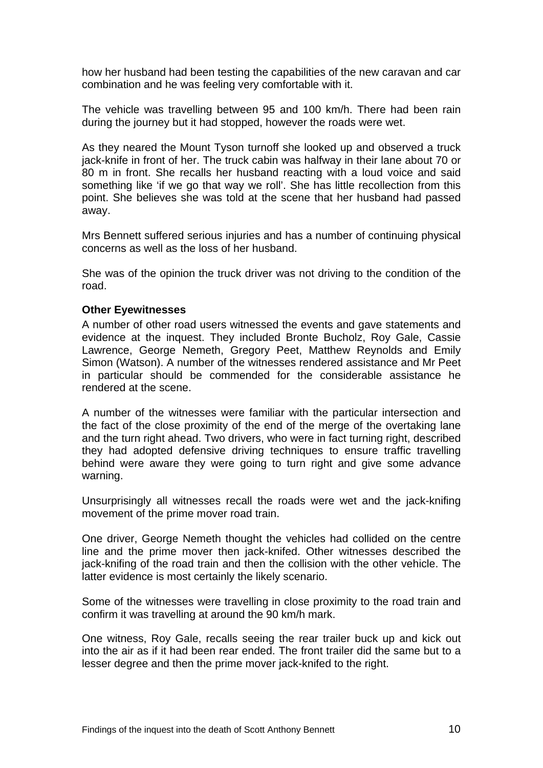how her husband had been testing the capabilities of the new caravan and car combination and he was feeling very comfortable with it.

The vehicle was travelling between 95 and 100 km/h. There had been rain during the journey but it had stopped, however the roads were wet.

As they neared the Mount Tyson turnoff she looked up and observed a truck jack-knife in front of her. The truck cabin was halfway in their lane about 70 or 80 m in front. She recalls her husband reacting with a loud voice and said something like 'if we go that way we roll'. She has little recollection from this point. She believes she was told at the scene that her husband had passed away.

Mrs Bennett suffered serious injuries and has a number of continuing physical concerns as well as the loss of her husband.

She was of the opinion the truck driver was not driving to the condition of the road.

#### <span id="page-11-0"></span>**Other Eyewitnesses**

A number of other road users witnessed the events and gave statements and evidence at the inquest. They included Bronte Bucholz, Roy Gale, Cassie Lawrence, George Nemeth, Gregory Peet, Matthew Reynolds and Emily Simon (Watson). A number of the witnesses rendered assistance and Mr Peet in particular should be commended for the considerable assistance he rendered at the scene.

A number of the witnesses were familiar with the particular intersection and the fact of the close proximity of the end of the merge of the overtaking lane and the turn right ahead. Two drivers, who were in fact turning right, described they had adopted defensive driving techniques to ensure traffic travelling behind were aware they were going to turn right and give some advance warning.

Unsurprisingly all witnesses recall the roads were wet and the jack-knifing movement of the prime mover road train.

One driver, George Nemeth thought the vehicles had collided on the centre line and the prime mover then jack-knifed. Other witnesses described the jack-knifing of the road train and then the collision with the other vehicle. The latter evidence is most certainly the likely scenario.

Some of the witnesses were travelling in close proximity to the road train and confirm it was travelling at around the 90 km/h mark.

One witness, Roy Gale, recalls seeing the rear trailer buck up and kick out into the air as if it had been rear ended. The front trailer did the same but to a lesser degree and then the prime mover jack-knifed to the right.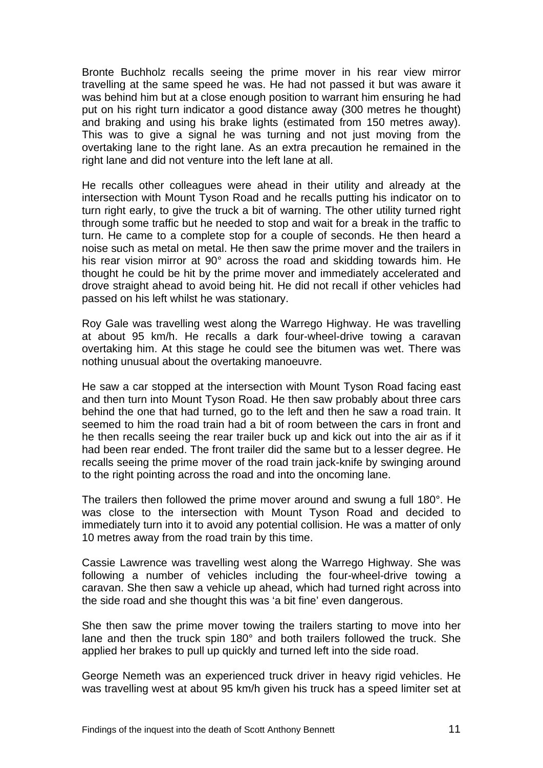Bronte Buchholz recalls seeing the prime mover in his rear view mirror travelling at the same speed he was. He had not passed it but was aware it was behind him but at a close enough position to warrant him ensuring he had put on his right turn indicator a good distance away (300 metres he thought) and braking and using his brake lights (estimated from 150 metres away). This was to give a signal he was turning and not just moving from the overtaking lane to the right lane. As an extra precaution he remained in the right lane and did not venture into the left lane at all.

He recalls other colleagues were ahead in their utility and already at the intersection with Mount Tyson Road and he recalls putting his indicator on to turn right early, to give the truck a bit of warning. The other utility turned right through some traffic but he needed to stop and wait for a break in the traffic to turn. He came to a complete stop for a couple of seconds. He then heard a noise such as metal on metal. He then saw the prime mover and the trailers in his rear vision mirror at 90° across the road and skidding towards him. He thought he could be hit by the prime mover and immediately accelerated and drove straight ahead to avoid being hit. He did not recall if other vehicles had passed on his left whilst he was stationary.

Roy Gale was travelling west along the Warrego Highway. He was travelling at about 95 km/h. He recalls a dark four-wheel-drive towing a caravan overtaking him. At this stage he could see the bitumen was wet. There was nothing unusual about the overtaking manoeuvre.

He saw a car stopped at the intersection with Mount Tyson Road facing east and then turn into Mount Tyson Road. He then saw probably about three cars behind the one that had turned, go to the left and then he saw a road train. It seemed to him the road train had a bit of room between the cars in front and he then recalls seeing the rear trailer buck up and kick out into the air as if it had been rear ended. The front trailer did the same but to a lesser degree. He recalls seeing the prime mover of the road train jack-knife by swinging around to the right pointing across the road and into the oncoming lane.

The trailers then followed the prime mover around and swung a full 180°. He was close to the intersection with Mount Tyson Road and decided to immediately turn into it to avoid any potential collision. He was a matter of only 10 metres away from the road train by this time.

Cassie Lawrence was travelling west along the Warrego Highway. She was following a number of vehicles including the four-wheel-drive towing a caravan. She then saw a vehicle up ahead, which had turned right across into the side road and she thought this was 'a bit fine' even dangerous.

She then saw the prime mover towing the trailers starting to move into her lane and then the truck spin 180° and both trailers followed the truck. She applied her brakes to pull up quickly and turned left into the side road.

George Nemeth was an experienced truck driver in heavy rigid vehicles. He was travelling west at about 95 km/h given his truck has a speed limiter set at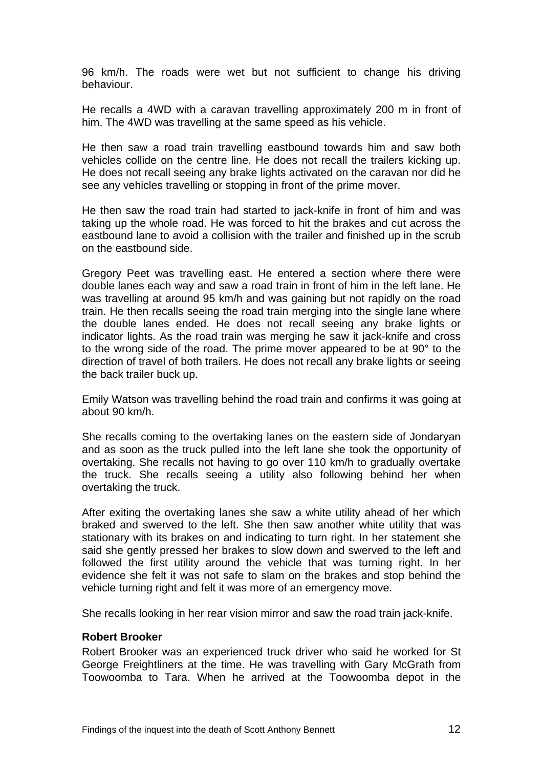96 km/h. The roads were wet but not sufficient to change his driving behaviour.

He recalls a 4WD with a caravan travelling approximately 200 m in front of him. The 4WD was travelling at the same speed as his vehicle.

He then saw a road train travelling eastbound towards him and saw both vehicles collide on the centre line. He does not recall the trailers kicking up. He does not recall seeing any brake lights activated on the caravan nor did he see any vehicles travelling or stopping in front of the prime mover.

He then saw the road train had started to jack-knife in front of him and was taking up the whole road. He was forced to hit the brakes and cut across the eastbound lane to avoid a collision with the trailer and finished up in the scrub on the eastbound side.

Gregory Peet was travelling east. He entered a section where there were double lanes each way and saw a road train in front of him in the left lane. He was travelling at around 95 km/h and was gaining but not rapidly on the road train. He then recalls seeing the road train merging into the single lane where the double lanes ended. He does not recall seeing any brake lights or indicator lights. As the road train was merging he saw it jack-knife and cross to the wrong side of the road. The prime mover appeared to be at 90° to the direction of travel of both trailers. He does not recall any brake lights or seeing the back trailer buck up.

Emily Watson was travelling behind the road train and confirms it was going at about 90 km/h.

She recalls coming to the overtaking lanes on the eastern side of Jondaryan and as soon as the truck pulled into the left lane she took the opportunity of overtaking. She recalls not having to go over 110 km/h to gradually overtake the truck. She recalls seeing a utility also following behind her when overtaking the truck.

After exiting the overtaking lanes she saw a white utility ahead of her which braked and swerved to the left. She then saw another white utility that was stationary with its brakes on and indicating to turn right. In her statement she said she gently pressed her brakes to slow down and swerved to the left and followed the first utility around the vehicle that was turning right. In her evidence she felt it was not safe to slam on the brakes and stop behind the vehicle turning right and felt it was more of an emergency move.

She recalls looking in her rear vision mirror and saw the road train jack-knife.

#### <span id="page-13-0"></span>**Robert Brooker**

Robert Brooker was an experienced truck driver who said he worked for St George Freightliners at the time. He was travelling with Gary McGrath from Toowoomba to Tara. When he arrived at the Toowoomba depot in the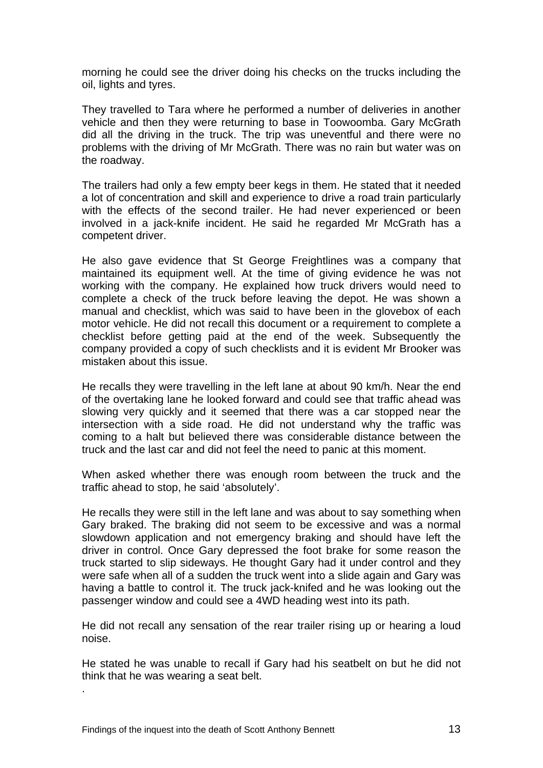morning he could see the driver doing his checks on the trucks including the oil, lights and tyres.

They travelled to Tara where he performed a number of deliveries in another vehicle and then they were returning to base in Toowoomba. Gary McGrath did all the driving in the truck. The trip was uneventful and there were no problems with the driving of Mr McGrath. There was no rain but water was on the roadway.

The trailers had only a few empty beer kegs in them. He stated that it needed a lot of concentration and skill and experience to drive a road train particularly with the effects of the second trailer. He had never experienced or been involved in a jack-knife incident. He said he regarded Mr McGrath has a competent driver.

He also gave evidence that St George Freightlines was a company that maintained its equipment well. At the time of giving evidence he was not working with the company. He explained how truck drivers would need to complete a check of the truck before leaving the depot. He was shown a manual and checklist, which was said to have been in the glovebox of each motor vehicle. He did not recall this document or a requirement to complete a checklist before getting paid at the end of the week. Subsequently the company provided a copy of such checklists and it is evident Mr Brooker was mistaken about this issue.

He recalls they were travelling in the left lane at about 90 km/h. Near the end of the overtaking lane he looked forward and could see that traffic ahead was slowing very quickly and it seemed that there was a car stopped near the intersection with a side road. He did not understand why the traffic was coming to a halt but believed there was considerable distance between the truck and the last car and did not feel the need to panic at this moment.

When asked whether there was enough room between the truck and the traffic ahead to stop, he said 'absolutely'.

He recalls they were still in the left lane and was about to say something when Gary braked. The braking did not seem to be excessive and was a normal slowdown application and not emergency braking and should have left the driver in control. Once Gary depressed the foot brake for some reason the truck started to slip sideways. He thought Gary had it under control and they were safe when all of a sudden the truck went into a slide again and Gary was having a battle to control it. The truck jack-knifed and he was looking out the passenger window and could see a 4WD heading west into its path.

He did not recall any sensation of the rear trailer rising up or hearing a loud noise.

He stated he was unable to recall if Gary had his seatbelt on but he did not think that he was wearing a seat belt.

.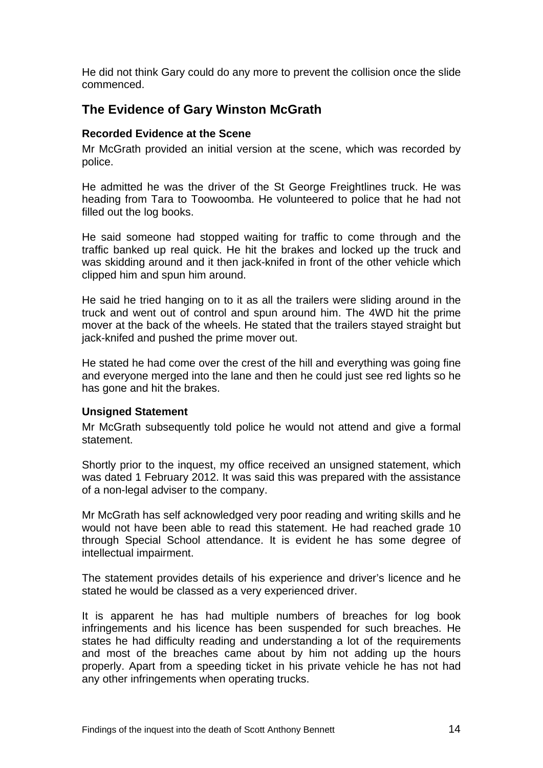He did not think Gary could do any more to prevent the collision once the slide commenced.

# <span id="page-15-0"></span>**The Evidence of Gary Winston McGrath**

#### <span id="page-15-1"></span>**Recorded Evidence at the Scene**

Mr McGrath provided an initial version at the scene, which was recorded by police.

He admitted he was the driver of the St George Freightlines truck. He was heading from Tara to Toowoomba. He volunteered to police that he had not filled out the log books.

He said someone had stopped waiting for traffic to come through and the traffic banked up real quick. He hit the brakes and locked up the truck and was skidding around and it then jack-knifed in front of the other vehicle which clipped him and spun him around.

He said he tried hanging on to it as all the trailers were sliding around in the truck and went out of control and spun around him. The 4WD hit the prime mover at the back of the wheels. He stated that the trailers stayed straight but jack-knifed and pushed the prime mover out.

He stated he had come over the crest of the hill and everything was going fine and everyone merged into the lane and then he could just see red lights so he has gone and hit the brakes.

#### <span id="page-15-2"></span>**Unsigned Statement**

Mr McGrath subsequently told police he would not attend and give a formal statement.

Shortly prior to the inquest, my office received an unsigned statement, which was dated 1 February 2012. It was said this was prepared with the assistance of a non-legal adviser to the company.

Mr McGrath has self acknowledged very poor reading and writing skills and he would not have been able to read this statement. He had reached grade 10 through Special School attendance. It is evident he has some degree of intellectual impairment.

The statement provides details of his experience and driver's licence and he stated he would be classed as a very experienced driver.

It is apparent he has had multiple numbers of breaches for log book infringements and his licence has been suspended for such breaches. He states he had difficulty reading and understanding a lot of the requirements and most of the breaches came about by him not adding up the hours properly. Apart from a speeding ticket in his private vehicle he has not had any other infringements when operating trucks.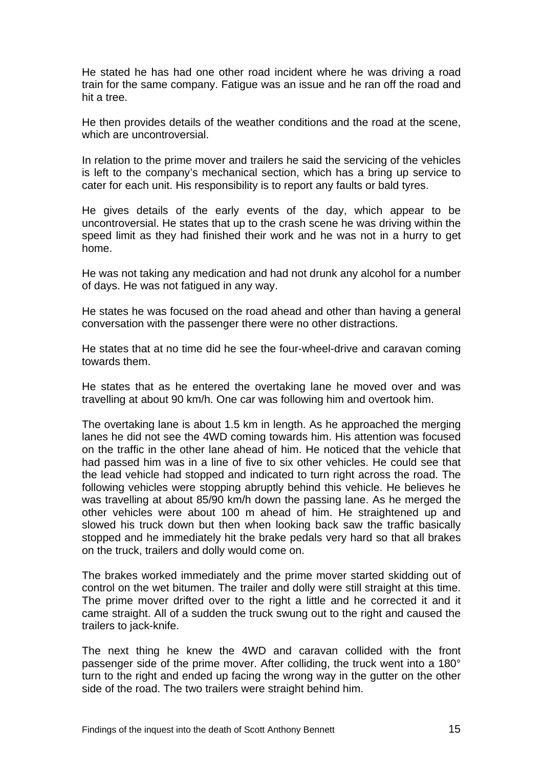He stated he has had one other road incident where he was driving a road train for the same company. Fatigue was an issue and he ran off the road and hit a tree.

He then provides details of the weather conditions and the road at the scene, which are uncontroversial.

In relation to the prime mover and trailers he said the servicing of the vehicles is left to the company's mechanical section, which has a bring up service to cater for each unit. His responsibility is to report any faults or bald tyres.

He gives details of the early events of the day, which appear to be uncontroversial. He states that up to the crash scene he was driving within the speed limit as they had finished their work and he was not in a hurry to get home.

He was not taking any medication and had not drunk any alcohol for a number of days. He was not fatigued in any way.

He states he was focused on the road ahead and other than having a general conversation with the passenger there were no other distractions.

He states that at no time did he see the four-wheel-drive and caravan coming towards them.

He states that as he entered the overtaking lane he moved over and was travelling at about 90 km/h. One car was following him and overtook him.

The overtaking lane is about 1.5 km in length. As he approached the merging lanes he did not see the 4WD coming towards him. His attention was focused on the traffic in the other lane ahead of him. He noticed that the vehicle that had passed him was in a line of five to six other vehicles. He could see that the lead vehicle had stopped and indicated to turn right across the road. The following vehicles were stopping abruptly behind this vehicle. He believes he was travelling at about 85/90 km/h down the passing lane. As he merged the other vehicles were about 100 m ahead of him. He straightened up and slowed his truck down but then when looking back saw the traffic basically stopped and he immediately hit the brake pedals very hard so that all brakes on the truck, trailers and dolly would come on.

The brakes worked immediately and the prime mover started skidding out of control on the wet bitumen. The trailer and dolly were still straight at this time. The prime mover drifted over to the right a little and he corrected it and it came straight. All of a sudden the truck swung out to the right and caused the trailers to jack-knife.

The next thing he knew the 4WD and caravan collided with the front passenger side of the prime mover. After colliding, the truck went into a 180° turn to the right and ended up facing the wrong way in the gutter on the other side of the road. The two trailers were straight behind him.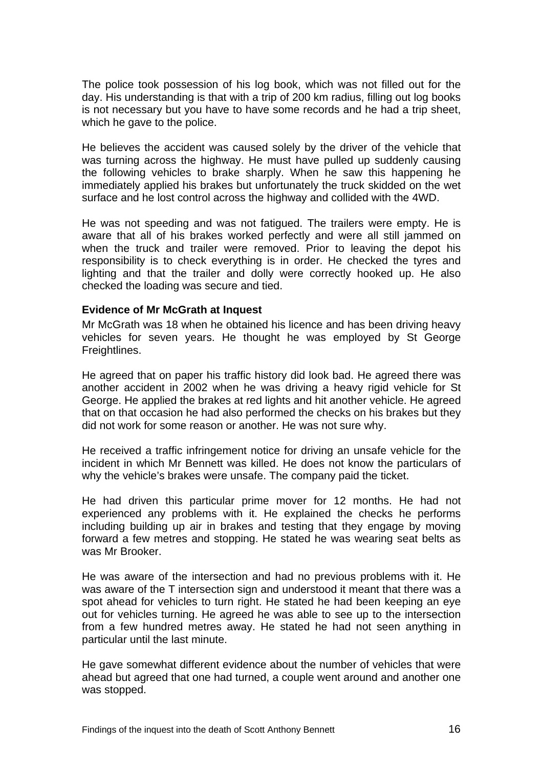The police took possession of his log book, which was not filled out for the day. His understanding is that with a trip of 200 km radius, filling out log books is not necessary but you have to have some records and he had a trip sheet, which he gave to the police.

He believes the accident was caused solely by the driver of the vehicle that was turning across the highway. He must have pulled up suddenly causing the following vehicles to brake sharply. When he saw this happening he immediately applied his brakes but unfortunately the truck skidded on the wet surface and he lost control across the highway and collided with the 4WD.

He was not speeding and was not fatigued. The trailers were empty. He is aware that all of his brakes worked perfectly and were all still jammed on when the truck and trailer were removed. Prior to leaving the depot his responsibility is to check everything is in order. He checked the tyres and lighting and that the trailer and dolly were correctly hooked up. He also checked the loading was secure and tied.

#### <span id="page-17-0"></span>**Evidence of Mr McGrath at Inquest**

Mr McGrath was 18 when he obtained his licence and has been driving heavy vehicles for seven years. He thought he was employed by St George Freightlines.

He agreed that on paper his traffic history did look bad. He agreed there was another accident in 2002 when he was driving a heavy rigid vehicle for St George. He applied the brakes at red lights and hit another vehicle. He agreed that on that occasion he had also performed the checks on his brakes but they did not work for some reason or another. He was not sure why.

He received a traffic infringement notice for driving an unsafe vehicle for the incident in which Mr Bennett was killed. He does not know the particulars of why the vehicle's brakes were unsafe. The company paid the ticket.

He had driven this particular prime mover for 12 months. He had not experienced any problems with it. He explained the checks he performs including building up air in brakes and testing that they engage by moving forward a few metres and stopping. He stated he was wearing seat belts as was Mr Brooker.

He was aware of the intersection and had no previous problems with it. He was aware of the T intersection sign and understood it meant that there was a spot ahead for vehicles to turn right. He stated he had been keeping an eye out for vehicles turning. He agreed he was able to see up to the intersection from a few hundred metres away. He stated he had not seen anything in particular until the last minute.

He gave somewhat different evidence about the number of vehicles that were ahead but agreed that one had turned, a couple went around and another one was stopped.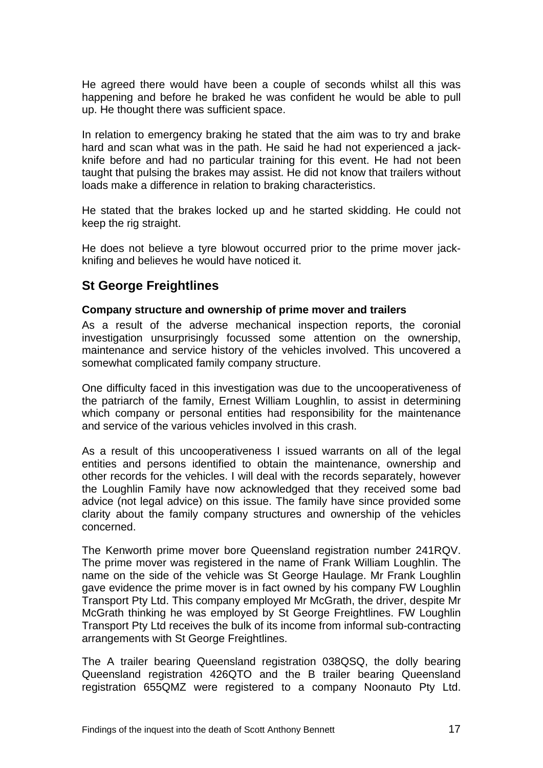He agreed there would have been a couple of seconds whilst all this was happening and before he braked he was confident he would be able to pull up. He thought there was sufficient space.

In relation to emergency braking he stated that the aim was to try and brake hard and scan what was in the path. He said he had not experienced a jackknife before and had no particular training for this event. He had not been taught that pulsing the brakes may assist. He did not know that trailers without loads make a difference in relation to braking characteristics.

He stated that the brakes locked up and he started skidding. He could not keep the rig straight.

He does not believe a tyre blowout occurred prior to the prime mover jackknifing and believes he would have noticed it.

# <span id="page-18-0"></span>**St George Freightlines**

#### <span id="page-18-1"></span>**Company structure and ownership of prime mover and trailers**

As a result of the adverse mechanical inspection reports, the coronial investigation unsurprisingly focussed some attention on the ownership, maintenance and service history of the vehicles involved. This uncovered a somewhat complicated family company structure.

One difficulty faced in this investigation was due to the uncooperativeness of the patriarch of the family, Ernest William Loughlin, to assist in determining which company or personal entities had responsibility for the maintenance and service of the various vehicles involved in this crash.

As a result of this uncooperativeness I issued warrants on all of the legal entities and persons identified to obtain the maintenance, ownership and other records for the vehicles. I will deal with the records separately, however the Loughlin Family have now acknowledged that they received some bad advice (not legal advice) on this issue. The family have since provided some clarity about the family company structures and ownership of the vehicles concerned.

The Kenworth prime mover bore Queensland registration number 241RQV. The prime mover was registered in the name of Frank William Loughlin. The name on the side of the vehicle was St George Haulage. Mr Frank Loughlin gave evidence the prime mover is in fact owned by his company FW Loughlin Transport Pty Ltd. This company employed Mr McGrath, the driver, despite Mr McGrath thinking he was employed by St George Freightlines. FW Loughlin Transport Pty Ltd receives the bulk of its income from informal sub-contracting arrangements with St George Freightlines.

The A trailer bearing Queensland registration 038QSQ, the dolly bearing Queensland registration 426QTO and the B trailer bearing Queensland registration 655QMZ were registered to a company Noonauto Pty Ltd.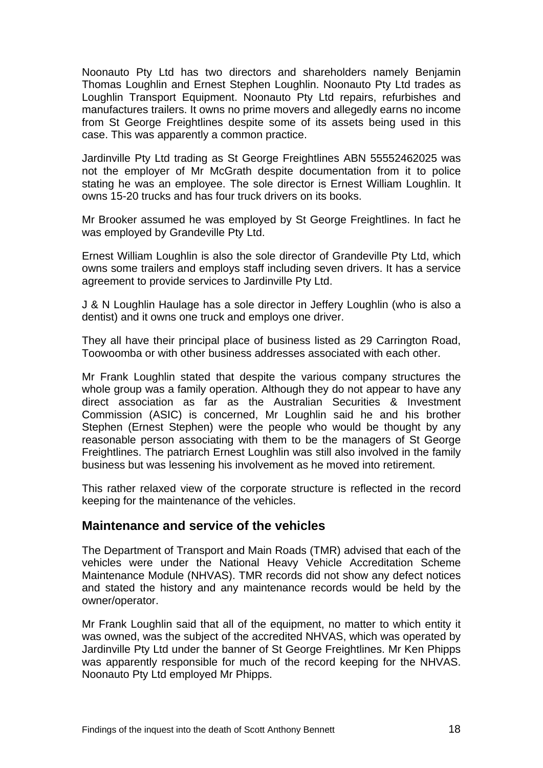Noonauto Pty Ltd has two directors and shareholders namely Benjamin Thomas Loughlin and Ernest Stephen Loughlin. Noonauto Pty Ltd trades as Loughlin Transport Equipment. Noonauto Pty Ltd repairs, refurbishes and manufactures trailers. It owns no prime movers and allegedly earns no income from St George Freightlines despite some of its assets being used in this case. This was apparently a common practice.

Jardinville Pty Ltd trading as St George Freightlines ABN 55552462025 was not the employer of Mr McGrath despite documentation from it to police stating he was an employee. The sole director is Ernest William Loughlin. It owns 15-20 trucks and has four truck drivers on its books.

Mr Brooker assumed he was employed by St George Freightlines. In fact he was employed by Grandeville Pty Ltd.

Ernest William Loughlin is also the sole director of Grandeville Pty Ltd, which owns some trailers and employs staff including seven drivers. It has a service agreement to provide services to Jardinville Pty Ltd.

J & N Loughlin Haulage has a sole director in Jeffery Loughlin (who is also a dentist) and it owns one truck and employs one driver.

They all have their principal place of business listed as 29 Carrington Road, Toowoomba or with other business addresses associated with each other.

Mr Frank Loughlin stated that despite the various company structures the whole group was a family operation. Although they do not appear to have any direct association as far as the Australian Securities & Investment Commission (ASIC) is concerned, Mr Loughlin said he and his brother Stephen (Ernest Stephen) were the people who would be thought by any reasonable person associating with them to be the managers of St George Freightlines. The patriarch Ernest Loughlin was still also involved in the family business but was lessening his involvement as he moved into retirement.

This rather relaxed view of the corporate structure is reflected in the record keeping for the maintenance of the vehicles.

## <span id="page-19-0"></span>**Maintenance and service of the vehicles**

The Department of Transport and Main Roads (TMR) advised that each of the vehicles were under the National Heavy Vehicle Accreditation Scheme Maintenance Module (NHVAS). TMR records did not show any defect notices and stated the history and any maintenance records would be held by the owner/operator.

Mr Frank Loughlin said that all of the equipment, no matter to which entity it was owned, was the subject of the accredited NHVAS, which was operated by Jardinville Pty Ltd under the banner of St George Freightlines. Mr Ken Phipps was apparently responsible for much of the record keeping for the NHVAS. Noonauto Pty Ltd employed Mr Phipps.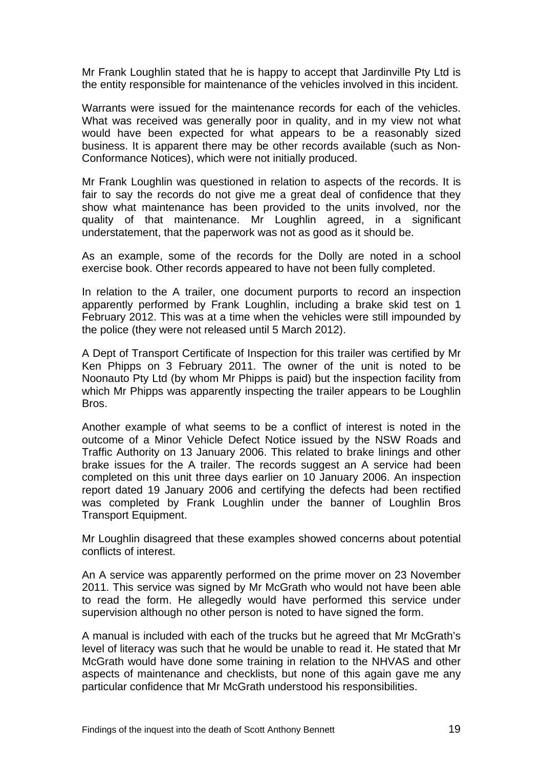Mr Frank Loughlin stated that he is happy to accept that Jardinville Pty Ltd is the entity responsible for maintenance of the vehicles involved in this incident.

Warrants were issued for the maintenance records for each of the vehicles. What was received was generally poor in quality, and in my view not what would have been expected for what appears to be a reasonably sized business. It is apparent there may be other records available (such as Non-Conformance Notices), which were not initially produced.

Mr Frank Loughlin was questioned in relation to aspects of the records. It is fair to say the records do not give me a great deal of confidence that they show what maintenance has been provided to the units involved, nor the quality of that maintenance. Mr Loughlin agreed, in a significant understatement, that the paperwork was not as good as it should be.

As an example, some of the records for the Dolly are noted in a school exercise book. Other records appeared to have not been fully completed.

In relation to the A trailer, one document purports to record an inspection apparently performed by Frank Loughlin, including a brake skid test on 1 February 2012. This was at a time when the vehicles were still impounded by the police (they were not released until 5 March 2012).

A Dept of Transport Certificate of Inspection for this trailer was certified by Mr Ken Phipps on 3 February 2011. The owner of the unit is noted to be Noonauto Pty Ltd (by whom Mr Phipps is paid) but the inspection facility from which Mr Phipps was apparently inspecting the trailer appears to be Loughlin Bros.

Another example of what seems to be a conflict of interest is noted in the outcome of a Minor Vehicle Defect Notice issued by the NSW Roads and Traffic Authority on 13 January 2006. This related to brake linings and other brake issues for the A trailer. The records suggest an A service had been completed on this unit three days earlier on 10 January 2006. An inspection report dated 19 January 2006 and certifying the defects had been rectified was completed by Frank Loughlin under the banner of Loughlin Bros Transport Equipment.

Mr Loughlin disagreed that these examples showed concerns about potential conflicts of interest.

An A service was apparently performed on the prime mover on 23 November 2011. This service was signed by Mr McGrath who would not have been able to read the form. He allegedly would have performed this service under supervision although no other person is noted to have signed the form.

A manual is included with each of the trucks but he agreed that Mr McGrath's level of literacy was such that he would be unable to read it. He stated that Mr McGrath would have done some training in relation to the NHVAS and other aspects of maintenance and checklists, but none of this again gave me any particular confidence that Mr McGrath understood his responsibilities.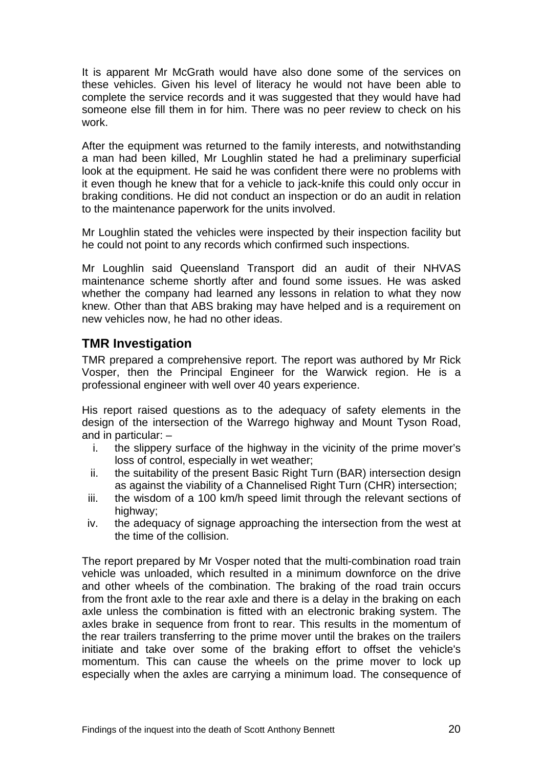It is apparent Mr McGrath would have also done some of the services on these vehicles. Given his level of literacy he would not have been able to complete the service records and it was suggested that they would have had someone else fill them in for him. There was no peer review to check on his work.

After the equipment was returned to the family interests, and notwithstanding a man had been killed, Mr Loughlin stated he had a preliminary superficial look at the equipment. He said he was confident there were no problems with it even though he knew that for a vehicle to jack-knife this could only occur in braking conditions. He did not conduct an inspection or do an audit in relation to the maintenance paperwork for the units involved.

Mr Loughlin stated the vehicles were inspected by their inspection facility but he could not point to any records which confirmed such inspections.

Mr Loughlin said Queensland Transport did an audit of their NHVAS maintenance scheme shortly after and found some issues. He was asked whether the company had learned any lessons in relation to what they now knew. Other than that ABS braking may have helped and is a requirement on new vehicles now, he had no other ideas.

# <span id="page-21-0"></span>**TMR Investigation**

TMR prepared a comprehensive report. The report was authored by Mr Rick Vosper, then the Principal Engineer for the Warwick region. He is a professional engineer with well over 40 years experience.

His report raised questions as to the adequacy of safety elements in the design of the intersection of the Warrego highway and Mount Tyson Road, and in particular: –

- i. the slippery surface of the highway in the vicinity of the prime mover's loss of control, especially in wet weather;
- ii. the suitability of the present Basic Right Turn (BAR) intersection design as against the viability of a Channelised Right Turn (CHR) intersection;
- iii. the wisdom of a 100 km/h speed limit through the relevant sections of highway:
- iv. the adequacy of signage approaching the intersection from the west at the time of the collision.

The report prepared by Mr Vosper noted that the multi-combination road train vehicle was unloaded, which resulted in a minimum downforce on the drive and other wheels of the combination. The braking of the road train occurs from the front axle to the rear axle and there is a delay in the braking on each axle unless the combination is fitted with an electronic braking system. The axles brake in sequence from front to rear. This results in the momentum of the rear trailers transferring to the prime mover until the brakes on the trailers initiate and take over some of the braking effort to offset the vehicle's momentum. This can cause the wheels on the prime mover to lock up especially when the axles are carrying a minimum load. The consequence of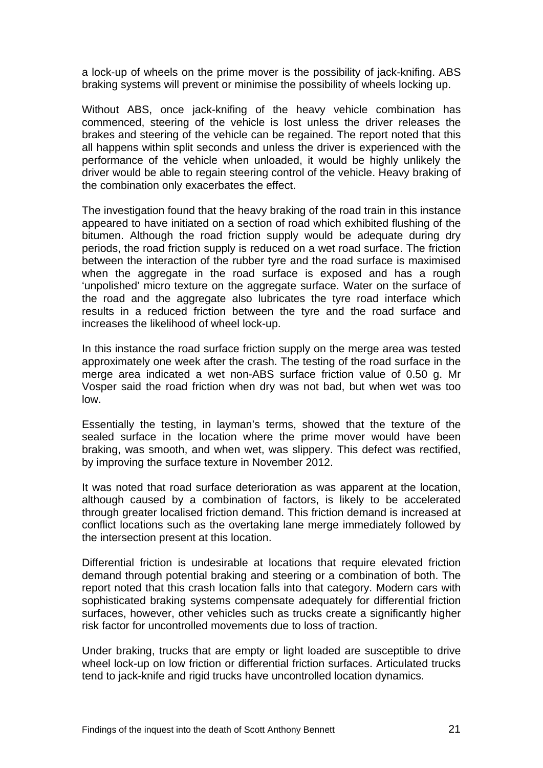a lock-up of wheels on the prime mover is the possibility of jack-knifing. ABS braking systems will prevent or minimise the possibility of wheels locking up.

Without ABS, once jack-knifing of the heavy vehicle combination has commenced, steering of the vehicle is lost unless the driver releases the brakes and steering of the vehicle can be regained. The report noted that this all happens within split seconds and unless the driver is experienced with the performance of the vehicle when unloaded, it would be highly unlikely the driver would be able to regain steering control of the vehicle. Heavy braking of the combination only exacerbates the effect.

The investigation found that the heavy braking of the road train in this instance appeared to have initiated on a section of road which exhibited flushing of the bitumen. Although the road friction supply would be adequate during dry periods, the road friction supply is reduced on a wet road surface. The friction between the interaction of the rubber tyre and the road surface is maximised when the aggregate in the road surface is exposed and has a rough 'unpolished' micro texture on the aggregate surface. Water on the surface of the road and the aggregate also lubricates the tyre road interface which results in a reduced friction between the tyre and the road surface and increases the likelihood of wheel lock-up.

In this instance the road surface friction supply on the merge area was tested approximately one week after the crash. The testing of the road surface in the merge area indicated a wet non-ABS surface friction value of 0.50 g. Mr Vosper said the road friction when dry was not bad, but when wet was too low.

Essentially the testing, in layman's terms, showed that the texture of the sealed surface in the location where the prime mover would have been braking, was smooth, and when wet, was slippery. This defect was rectified, by improving the surface texture in November 2012.

It was noted that road surface deterioration as was apparent at the location, although caused by a combination of factors, is likely to be accelerated through greater localised friction demand. This friction demand is increased at conflict locations such as the overtaking lane merge immediately followed by the intersection present at this location.

Differential friction is undesirable at locations that require elevated friction demand through potential braking and steering or a combination of both. The report noted that this crash location falls into that category. Modern cars with sophisticated braking systems compensate adequately for differential friction surfaces, however, other vehicles such as trucks create a significantly higher risk factor for uncontrolled movements due to loss of traction.

Under braking, trucks that are empty or light loaded are susceptible to drive wheel lock-up on low friction or differential friction surfaces. Articulated trucks tend to jack-knife and rigid trucks have uncontrolled location dynamics.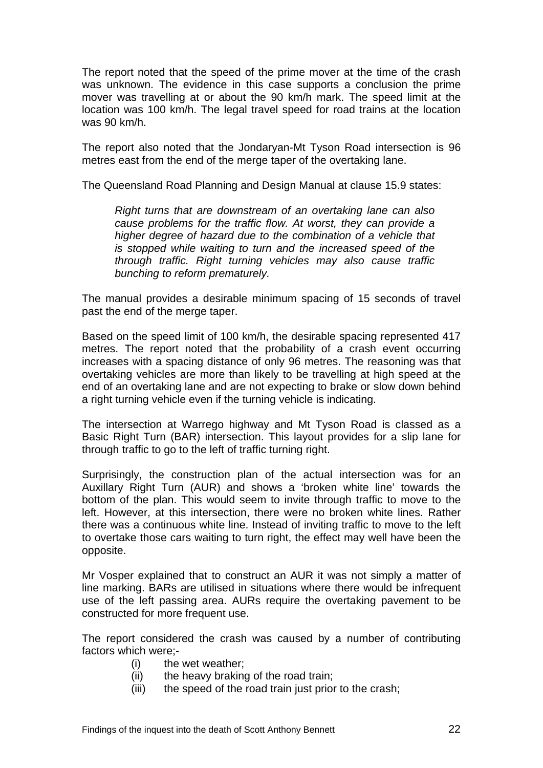The report noted that the speed of the prime mover at the time of the crash was unknown. The evidence in this case supports a conclusion the prime mover was travelling at or about the 90 km/h mark. The speed limit at the location was 100 km/h. The legal travel speed for road trains at the location was 90 km/h.

The report also noted that the Jondaryan-Mt Tyson Road intersection is 96 metres east from the end of the merge taper of the overtaking lane.

The Queensland Road Planning and Design Manual at clause 15.9 states:

*Right turns that are downstream of an overtaking lane can also cause problems for the traffic flow. At worst, they can provide a higher degree of hazard due to the combination of a vehicle that is stopped while waiting to turn and the increased speed of the through traffic. Right turning vehicles may also cause traffic bunching to reform prematurely.* 

The manual provides a desirable minimum spacing of 15 seconds of travel past the end of the merge taper.

Based on the speed limit of 100 km/h, the desirable spacing represented 417 metres. The report noted that the probability of a crash event occurring increases with a spacing distance of only 96 metres. The reasoning was that overtaking vehicles are more than likely to be travelling at high speed at the end of an overtaking lane and are not expecting to brake or slow down behind a right turning vehicle even if the turning vehicle is indicating.

The intersection at Warrego highway and Mt Tyson Road is classed as a Basic Right Turn (BAR) intersection. This layout provides for a slip lane for through traffic to go to the left of traffic turning right.

Surprisingly, the construction plan of the actual intersection was for an Auxillary Right Turn (AUR) and shows a 'broken white line' towards the bottom of the plan. This would seem to invite through traffic to move to the left. However, at this intersection, there were no broken white lines. Rather there was a continuous white line. Instead of inviting traffic to move to the left to overtake those cars waiting to turn right, the effect may well have been the opposite.

Mr Vosper explained that to construct an AUR it was not simply a matter of line marking. BARs are utilised in situations where there would be infrequent use of the left passing area. AURs require the overtaking pavement to be constructed for more frequent use.

The report considered the crash was caused by a number of contributing factors which were;-

- (i) the wet weather;
- (ii) the heavy braking of the road train;
- (iii) the speed of the road train just prior to the crash;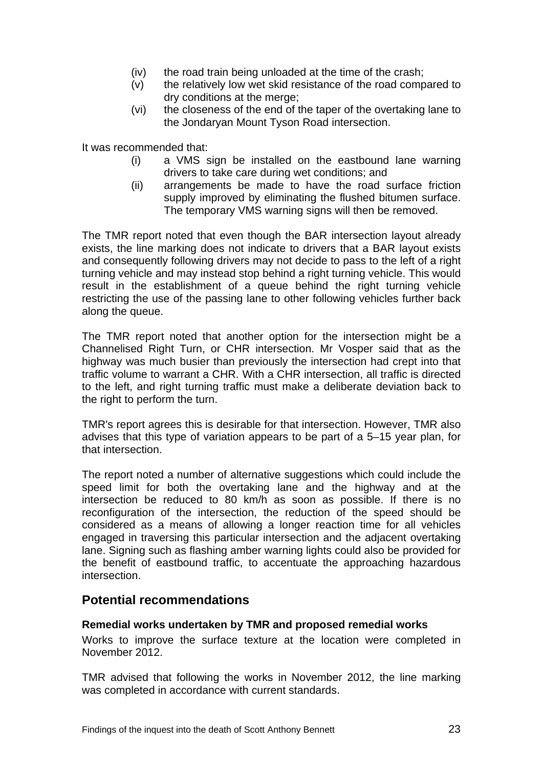- (iv) the road train being unloaded at the time of the crash;
- (v) the relatively low wet skid resistance of the road compared to dry conditions at the merge;
- (vi) the closeness of the end of the taper of the overtaking lane to the Jondaryan Mount Tyson Road intersection.

It was recommended that:

- (i) a VMS sign be installed on the eastbound lane warning drivers to take care during wet conditions; and
- (ii) arrangements be made to have the road surface friction supply improved by eliminating the flushed bitumen surface. The temporary VMS warning signs will then be removed.

The TMR report noted that even though the BAR intersection layout already exists, the line marking does not indicate to drivers that a BAR layout exists and consequently following drivers may not decide to pass to the left of a right turning vehicle and may instead stop behind a right turning vehicle. This would result in the establishment of a queue behind the right turning vehicle restricting the use of the passing lane to other following vehicles further back along the queue.

The TMR report noted that another option for the intersection might be a Channelised Right Turn, or CHR intersection. Mr Vosper said that as the highway was much busier than previously the intersection had crept into that traffic volume to warrant a CHR. With a CHR intersection, all traffic is directed to the left, and right turning traffic must make a deliberate deviation back to the right to perform the turn.

TMR's report agrees this is desirable for that intersection. However, TMR also advises that this type of variation appears to be part of a 5–15 year plan, for that intersection.

The report noted a number of alternative suggestions which could include the speed limit for both the overtaking lane and the highway and at the intersection be reduced to 80 km/h as soon as possible. If there is no reconfiguration of the intersection, the reduction of the speed should be considered as a means of allowing a longer reaction time for all vehicles engaged in traversing this particular intersection and the adjacent overtaking lane. Signing such as flashing amber warning lights could also be provided for the benefit of eastbound traffic, to accentuate the approaching hazardous intersection.

## <span id="page-24-0"></span>**Potential recommendations**

#### <span id="page-24-1"></span>**Remedial works undertaken by TMR and proposed remedial works**

Works to improve the surface texture at the location were completed in November 2012.

TMR advised that following the works in November 2012, the line marking was completed in accordance with current standards.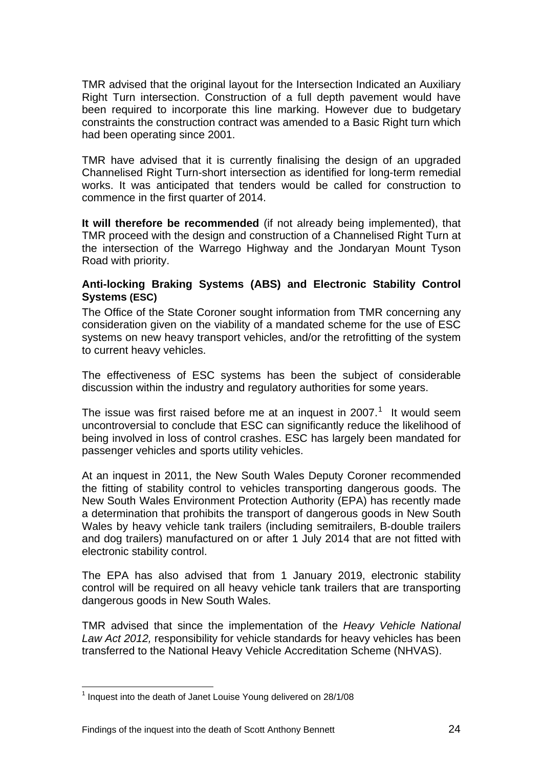TMR advised that the original layout for the Intersection Indicated an Auxiliary Right Turn intersection. Construction of a full depth pavement would have been required to incorporate this line marking. However due to budgetary constraints the construction contract was amended to a Basic Right turn which had been operating since 2001.

TMR have advised that it is currently finalising the design of an upgraded Channelised Right Turn-short intersection as identified for long-term remedial works. It was anticipated that tenders would be called for construction to commence in the first quarter of 2014.

**It will therefore be recommended** (if not already being implemented), that TMR proceed with the design and construction of a Channelised Right Turn at the intersection of the Warrego Highway and the Jondaryan Mount Tyson Road with priority.

#### <span id="page-25-0"></span>**Anti-locking Braking Systems (ABS) and Electronic Stability Control Systems (ESC)**

The Office of the State Coroner sought information from TMR concerning any consideration given on the viability of a mandated scheme for the use of ESC systems on new heavy transport vehicles, and/or the retrofitting of the system to current heavy vehicles.

The effectiveness of ESC systems has been the subject of considerable discussion within the industry and regulatory authorities for some years.

The issue was first raised before me at an inquest in 2007. $1$  It would seem uncontroversial to conclude that ESC can significantly reduce the likelihood of being involved in loss of control crashes. ESC has largely been mandated for passenger vehicles and sports utility vehicles.

At an inquest in 2011, the New South Wales Deputy Coroner recommended the fitting of stability control to vehicles transporting dangerous goods. The New South Wales Environment Protection Authority (EPA) has recently made a determination that prohibits the transport of dangerous goods in New South Wales by heavy vehicle tank trailers (including semitrailers, B-double trailers and dog trailers) manufactured on or after 1 July 2014 that are not fitted with electronic stability control.

The EPA has also advised that from 1 January 2019, electronic stability control will be required on all heavy vehicle tank trailers that are transporting dangerous goods in New South Wales.

TMR advised that since the implementation of the *Heavy Vehicle National Law Act 2012,* responsibility for vehicle standards for heavy vehicles has been transferred to the National Heavy Vehicle Accreditation Scheme (NHVAS).

l  $1$  Inquest into the death of Janet Louise Young delivered on 28/1/08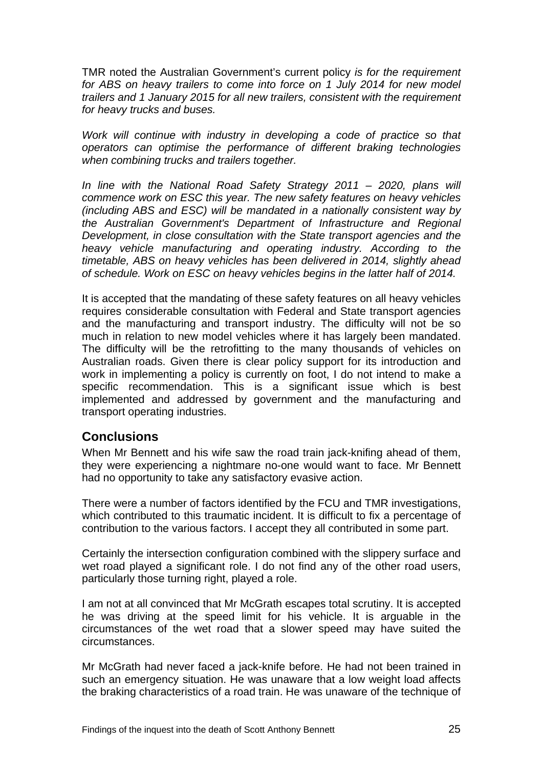TMR noted the Australian Government's current policy *is for the requirement for ABS on heavy trailers to come into force on 1 July 2014 for new model trailers and 1 January 2015 for all new trailers, consistent with the requirement for heavy trucks and buses.* 

*Work will continue with industry in developing a code of practice so that operators can optimise the performance of different braking technologies when combining trucks and trailers together.* 

*In line with the National Road Safety Strategy 2011 – 2020, plans will commence work on ESC this year. The new safety features on heavy vehicles (including ABS and ESC) will be mandated in a nationally consistent way by the Australian Government's Department of Infrastructure and Regional Development, in close consultation with the State transport agencies and the heavy vehicle manufacturing and operating industry. According to the timetable, ABS on heavy vehicles has been delivered in 2014, slightly ahead of schedule. Work on ESC on heavy vehicles begins in the latter half of 2014.* 

It is accepted that the mandating of these safety features on all heavy vehicles requires considerable consultation with Federal and State transport agencies and the manufacturing and transport industry. The difficulty will not be so much in relation to new model vehicles where it has largely been mandated. The difficulty will be the retrofitting to the many thousands of vehicles on Australian roads. Given there is clear policy support for its introduction and work in implementing a policy is currently on foot, I do not intend to make a specific recommendation. This is a significant issue which is best implemented and addressed by government and the manufacturing and transport operating industries.

# <span id="page-26-0"></span>**Conclusions**

When Mr Bennett and his wife saw the road train jack-knifing ahead of them, they were experiencing a nightmare no-one would want to face. Mr Bennett had no opportunity to take any satisfactory evasive action.

There were a number of factors identified by the FCU and TMR investigations, which contributed to this traumatic incident. It is difficult to fix a percentage of contribution to the various factors. I accept they all contributed in some part.

Certainly the intersection configuration combined with the slippery surface and wet road played a significant role. I do not find any of the other road users, particularly those turning right, played a role.

I am not at all convinced that Mr McGrath escapes total scrutiny. It is accepted he was driving at the speed limit for his vehicle. It is arguable in the circumstances of the wet road that a slower speed may have suited the circumstances.

Mr McGrath had never faced a jack-knife before. He had not been trained in such an emergency situation. He was unaware that a low weight load affects the braking characteristics of a road train. He was unaware of the technique of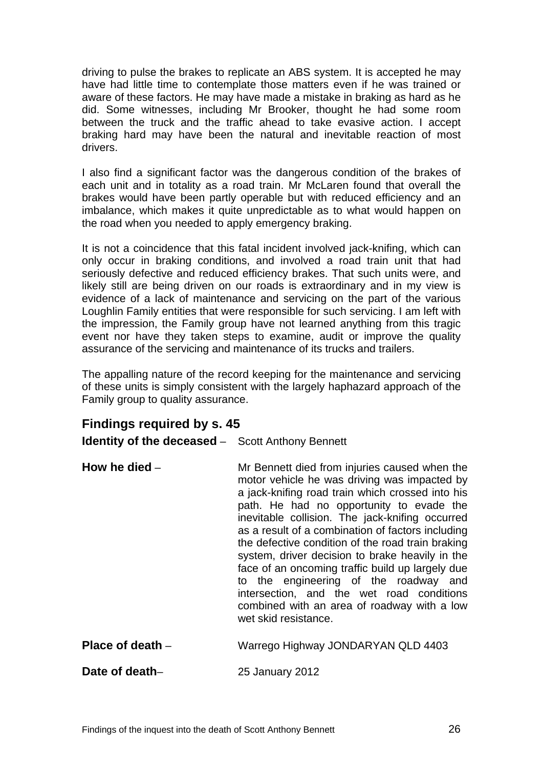driving to pulse the brakes to replicate an ABS system. It is accepted he may have had little time to contemplate those matters even if he was trained or aware of these factors. He may have made a mistake in braking as hard as he did. Some witnesses, including Mr Brooker, thought he had some room between the truck and the traffic ahead to take evasive action. I accept braking hard may have been the natural and inevitable reaction of most drivers.

I also find a significant factor was the dangerous condition of the brakes of each unit and in totality as a road train. Mr McLaren found that overall the brakes would have been partly operable but with reduced efficiency and an imbalance, which makes it quite unpredictable as to what would happen on the road when you needed to apply emergency braking.

It is not a coincidence that this fatal incident involved jack-knifing, which can only occur in braking conditions, and involved a road train unit that had seriously defective and reduced efficiency brakes. That such units were, and likely still are being driven on our roads is extraordinary and in my view is evidence of a lack of maintenance and servicing on the part of the various Loughlin Family entities that were responsible for such servicing. I am left with the impression, the Family group have not learned anything from this tragic event nor have they taken steps to examine, audit or improve the quality assurance of the servicing and maintenance of its trucks and trailers.

The appalling nature of the record keeping for the maintenance and servicing of these units is simply consistent with the largely haphazard approach of the Family group to quality assurance.

# <span id="page-27-0"></span>**Findings required by s. 45**

<span id="page-27-1"></span>**Identity of the deceased** – Scott Anthony Bennett

<span id="page-27-2"></span>

| intersection, and the wet road conditions<br>combined with an area of roadway with a low<br>wet skid resistance. | as a result of a combination of factors including<br>the defective condition of the road train braking<br>system, driver decision to brake heavily in the<br>face of an oncoming traffic build up largely due | How he died -<br>Mr Bennett died from injuries caused when the<br>motor vehicle he was driving was impacted by<br>a jack-knifing road train which crossed into his<br>path. He had no opportunity to evade the<br>inevitable collision. The jack-knifing occurred |
|------------------------------------------------------------------------------------------------------------------|---------------------------------------------------------------------------------------------------------------------------------------------------------------------------------------------------------------|-------------------------------------------------------------------------------------------------------------------------------------------------------------------------------------------------------------------------------------------------------------------|
|------------------------------------------------------------------------------------------------------------------|---------------------------------------------------------------------------------------------------------------------------------------------------------------------------------------------------------------|-------------------------------------------------------------------------------------------------------------------------------------------------------------------------------------------------------------------------------------------------------------------|

<span id="page-27-3"></span>

| Place of death $-$ | Warrego Highway JONDARYAN QLD 4403 |
|--------------------|------------------------------------|
|--------------------|------------------------------------|

<span id="page-27-4"></span>**Date of death**– 25 January 2012